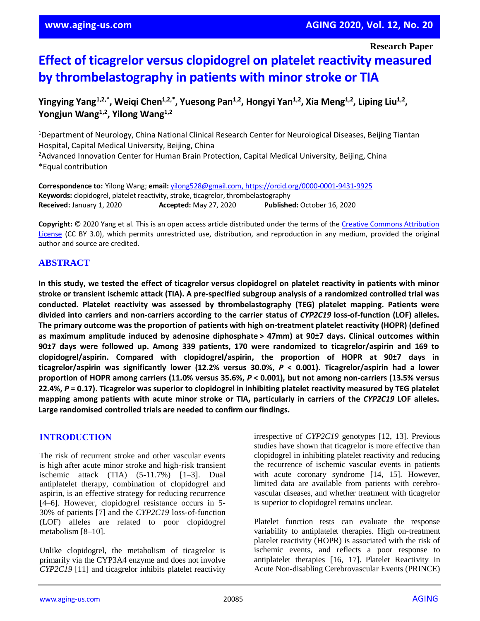**Research Paper**

# **Effect of ticagrelor versus clopidogrel on platelet reactivity measured by thrombelastography in patients with minor stroke or TIA**

**Yingying Yang1,2,\* , Weiqi Chen1,2,\* , Yuesong Pan1,2 , Hongyi Yan1,2 , Xia Meng1,2 , Liping Liu1,2 , Yongjun Wang1,2 , Yilong Wang1,2**

<sup>1</sup>Department of Neurology, China National Clinical Research Center for Neurological Diseases, Beijing Tiantan Hospital, Capital Medical University, Beijing, China <sup>2</sup>Advanced Innovation Center for Human Brain Protection, Capital Medical University, Beijing, China \*Equal contribution

**Correspondence to:** Yilong Wang; **email:** [yilong528@gmail.com,](mailto:yilong528@gmail.com) https://orcid.org/0000-0001-9431-9925 **Keywords:** clopidogrel, platelet reactivity, stroke, ticagrelor, thrombelastography **Received:** January 1, 2020 **Accepted:** May 27, 2020 **Published:** October 16, 2020

**Copyright:** © 2020 Yang et al. This is an open access article distributed under the terms of the [Creative Commons Attribution](https://creativecommons.org/licenses/by/3.0/)  [License](https://creativecommons.org/licenses/by/3.0/) (CC BY 3.0), which permits unrestricted use, distribution, and reproduction in any medium, provided the original author and source are credited.

## **ABSTRACT**

In this study, we tested the effect of ticagrelor versus clopidogrel on platelet reactivity in patients with minor stroke or transient ischemic attack (TIA). A pre-specified subgroup analysis of a randomized controlled trial was **conducted. Platelet reactivity was assessed by thrombelastography (TEG) platelet mapping. Patients were divided into carriers and non-carriers according to the carrier status of** *CYP2C19* **loss-of-function (LOF) alleles. The primary outcome was the proportion of patients with high on-treatment platelet reactivity (HOPR) (defined as maximum amplitude induced by adenosine diphosphate > 47mm) at 90±7 days. Clinical outcomes within 90±7 days were followed up. Among 339 patients, 170 were randomized to ticagrelor/aspirin and 169 to clopidogrel/aspirin. Compared with clopidogrel/aspirin, the proportion of HOPR at 90±7 days in ticagrelor/aspirin was significantly lower (12.2% versus 30.0%,** *P* **< 0.001). Ticagrelor/aspirin had a lower** proportion of HOPR among carriers (11.0% versus 35.6%,  $P < 0.001$ ), but not among non-carriers (13.5% versus 22.4%, P = 0.17). Ticagrelor was superior to clopidogrel in inhibiting platelet reactivity measured by TEG platelet mapping among patients with acute minor stroke or TIA, particularly in carriers of the CYP2C19 LOF alleles. **Large randomised controlled trials are needed to confirm our findings.**

## **INTRODUCTION**

The risk of recurrent stroke and other vascular events is high after acute minor stroke and high-risk transient ischemic attack (TIA) (5-11.7%) [1–3]. Dual antiplatelet therapy, combination of clopidogrel and aspirin, is an effective strategy for reducing recurrence [4–6]. However, clopidogrel resistance occurs in 5- 30% of patients [7] and the *CYP2C19* loss-of-function (LOF) alleles are related to poor clopidogrel metabolism [8–10].

Unlike clopidogrel, the metabolism of ticagrelor is primarily via the CYP3A4 enzyme and does not involve *CYP2C19* [11] and ticagrelor inhibits platelet reactivity irrespective of *CYP2C19* genotypes [12, 13]. Previous studies have shown that ticagrelor is more effective than clopidogrel in inhibiting platelet reactivity and reducing the recurrence of ischemic vascular events in patients with acute coronary syndrome [14, 15]. However, limited data are available from patients with cerebrovascular diseases, and whether treatment with ticagrelor is superior to clopidogrel remains unclear.

Platelet function tests can evaluate the response variability to antiplatelet therapies. High on-treatment platelet reactivity (HOPR) is associated with the risk of ischemic events, and reflects a poor response to antiplatelet therapies [16, 17]. Platelet Reactivity in Acute Non-disabling Cerebrovascular Events (PRINCE)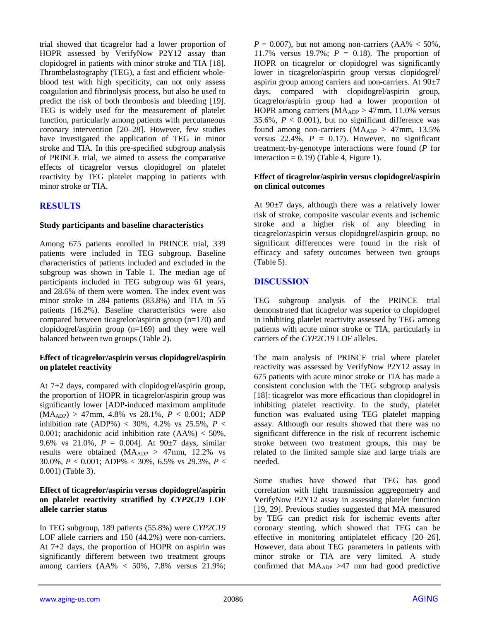trial showed that ticagrelor had a lower proportion of HOPR assessed by VerifyNow P2Y12 assay than clopidogrel in patients with minor stroke and TIA [18]. Thrombelastography (TEG), a fast and efficient wholeblood test with high specificity, can not only assess coagulation and fibrinolysis process, but also be used to predict the risk of both thrombosis and bleeding [19]. TEG is widely used for the measurement of platelet function, particularly among patients with percutaneous coronary intervention [20–28]. However, few studies have investigated the application of TEG in minor stroke and TIA. In this pre-specified subgroup analysis of PRINCE trial, we aimed to assess the comparative effects of ticagrelor versus clopidogrel on platelet reactivity by TEG platelet mapping in patients with minor stroke or TIA.

## **RESULTS**

#### **Study participants and baseline characteristics**

Among 675 patients enrolled in PRINCE trial, 339 patients were included in TEG subgroup. Baseline characteristics of patients included and excluded in the subgroup was shown in Table 1. The median age of participants included in TEG subgroup was 61 years, and 28.6% of them were women. The index event was minor stroke in 284 patients (83.8%) and TIA in 55 patients (16.2%). Baseline characteristics were also compared between ticagrelor/aspirin group (n**=**170) and clopidogrel/aspirin group (n**=**169) and they were well balanced between two groups (Table 2).

## **Effect of ticagrelor/aspirin versus clopidogrel/aspirin on platelet reactivity**

At 7+2 days, compared with clopidogrel/aspirin group, the proportion of HOPR in ticagrelor/aspirin group was significantly lower [ADP-induced maximum amplitude  $(MA_{ADP}) > 47$ mm, 4.8% vs 28.1%,  $P < 0.001$ ; ADP inhibition rate (ADP%) < 30%, 4.2% vs 25.5%,  $P \le$ 0.001; arachidonic acid inhibition rate  $(AA\%) < 50\%$ , 9.6% vs 21.0%, *P* = 0.004]. At 90±7 days, similar results were obtained (MAADP > 47mm, 12.2% vs 30.0%, *P* < 0.001; ADP% < 30%, 6.5% vs 29.3%, *P* < 0.001) (Table 3).

### **Effect of ticagrelor/aspirin versus clopidogrel/aspirin on platelet reactivity stratified by** *CYP2C19* **LOF allele carrier status**

In TEG subgroup, 189 patients (55.8%) were *CYP2C19* LOF allele carriers and 150 (44.2%) were non-carriers. At 7+2 days, the proportion of HOPR on aspirin was significantly different between two treatment groups among carriers (AA% < 50%, 7.8% versus 21.9%;  $P = 0.007$ ), but not among non-carriers (AA%  $<$  50%, 11.7% versus 19.7%; *P* = 0.18). The proportion of HOPR on ticagrelor or clopidogrel was significantly lower in ticagrelor/aspirin group versus clopidogrel/ aspirin group among carriers and non-carriers. At 90±7 days, compared with clopidogrel/aspirin group, ticagrelor/aspirin group had a lower proportion of HOPR among carriers (MAADP > 47mm, 11.0% versus 35.6%,  $P < 0.001$ ), but no significant difference was found among non-carriers ( $MA<sub>ADP</sub> > 47$ mm, 13.5% versus  $22.4\%$ ,  $P = 0.17$ . However, no significant treatment-by-genotype interactions were found (*P* for interaction  $= 0.19$  (Table 4, Figure 1).

### **Effect of ticagrelor/aspirin versus clopidogrel/aspirin on clinical outcomes**

At  $90\pm7$  days, although there was a relatively lower risk of stroke, composite vascular events and ischemic stroke and a higher risk of any bleeding in ticagrelor/aspirin versus clopidogrel/aspirin group, no significant differences were found in the risk of efficacy and safety outcomes between two groups (Table 5).

## **DISCUSSION**

TEG subgroup analysis of the PRINCE trial demonstrated that ticagrelor was superior to clopidogrel in inhibiting platelet reactivity assessed by TEG among patients with acute minor stroke or TIA, particularly in carriers of the *CYP2C19* LOF alleles.

The main analysis of PRINCE trial where platelet reactivity was assessed by VerifyNow P2Y12 assay in 675 patients with acute minor stroke or TIA has made a consistent conclusion with the TEG subgroup analysis [18]: ticagrelor was more efficacious than clopidogrel in inhibiting platelet reactivity. In the study, platelet function was evaluated using TEG platelet mapping assay. Although our results showed that there was no significant difference in the risk of recurrent ischemic stroke between two treatment groups, this may be related to the limited sample size and large trials are needed.

Some studies have showed that TEG has good correlation with light transmission aggregometry and VerifyNow P2Y12 assay in assessing platelet function [19, 29]. Previous studies suggested that MA measured by TEG can predict risk for ischemic events after coronary stenting, which showed that TEG can be effective in monitoring antiplatelet efficacy [20–26]. However, data about TEG parameters in patients with minor stroke or TIA are very limited. A study confirmed that  $MA_{ADP} > 47$  mm had good predictive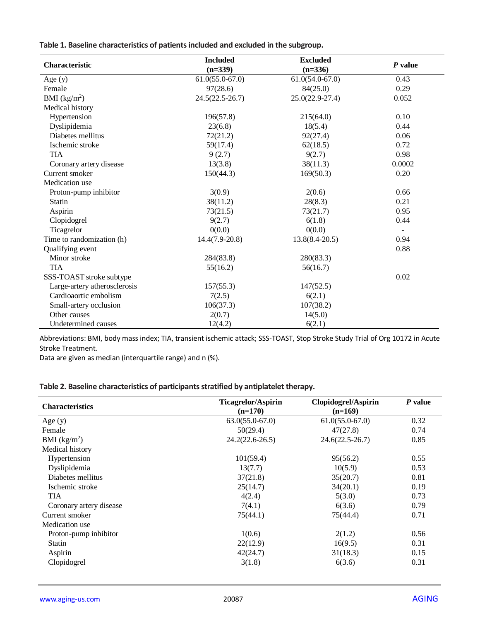**Table 1. Baseline characteristics of patients included and excluded in the subgroup.**

| Characteristic               | <b>Included</b>     | <b>Excluded</b>     | $P$ value                |  |
|------------------------------|---------------------|---------------------|--------------------------|--|
|                              | $(n=339)$           | $(n=336)$           |                          |  |
| Age $(y)$                    | $61.0(55.0-67.0)$   | $61.0(54.0-67.0)$   | 0.43                     |  |
| Female                       | 97(28.6)            | 84(25.0)            | 0.29                     |  |
| BMI (kg/m <sup>2</sup> )     | $24.5(22.5 - 26.7)$ | $25.0(22.9 - 27.4)$ | 0.052                    |  |
| Medical history              |                     |                     |                          |  |
| Hypertension                 | 196(57.8)           | 215(64.0)           | 0.10                     |  |
| Dyslipidemia                 | 23(6.8)             | 18(5.4)             | 0.44                     |  |
| Diabetes mellitus            | 72(21.2)            | 92(27.4)            | 0.06                     |  |
| Ischemic stroke              | 59(17.4)            | 62(18.5)            | 0.72                     |  |
| <b>TIA</b>                   | 9(2.7)              | 9(2.7)              | 0.98                     |  |
| Coronary artery disease      | 13(3.8)             | 38(11.3)            | 0.0002                   |  |
| Current smoker               | 150(44.3)           | 169(50.3)           | 0.20                     |  |
| Medication use               |                     |                     |                          |  |
| Proton-pump inhibitor        | 3(0.9)              | 2(0.6)              | 0.66                     |  |
| <b>Statin</b>                | 38(11.2)            | 28(8.3)             | 0.21                     |  |
| Aspirin                      | 73(21.5)            | 73(21.7)            | 0.95                     |  |
| Clopidogrel                  | 9(2.7)              | 6(1.8)              | 0.44                     |  |
| Ticagrelor                   | 0(0.0)              | 0(0.0)              | $\overline{\phantom{a}}$ |  |
| Time to randomization (h)    | $14.4(7.9-20.8)$    | $13.8(8.4 - 20.5)$  | 0.94                     |  |
| Qualifying event             |                     |                     | 0.88                     |  |
| Minor stroke                 | 284(83.8)           | 280(83.3)           |                          |  |
| <b>TIA</b>                   | 55(16.2)            | 56(16.7)            |                          |  |
| SSS-TOAST stroke subtype     |                     |                     | 0.02                     |  |
| Large-artery atherosclerosis | 157(55.3)           | 147(52.5)           |                          |  |
| Cardioaortic embolism        | 7(2.5)              | 6(2.1)              |                          |  |
| Small-artery occlusion       | 106(37.3)           | 107(38.2)           |                          |  |
| Other causes                 | 2(0.7)              | 14(5.0)             |                          |  |
| Undetermined causes          | 12(4.2)             | 6(2.1)              |                          |  |

Abbreviations: BMI, body mass index; TIA, transient ischemic attack; SSS-TOAST, Stop Stroke Study Trial of Org 10172 in Acute Stroke Treatment.

Data are given as median (interquartile range) and n (%).

## **Table 2. Baseline characteristics of participants stratified by antiplatelet therapy.**

| <b>Characteristics</b>  | <b>Ticagrelor/Aspirin</b><br>$(n=170)$ | Clopidogrel/Aspirin<br>$(n=169)$ | P value |
|-------------------------|----------------------------------------|----------------------------------|---------|
| Age $(y)$               | $63.0(55.0-67.0)$                      | $61.0(55.0-67.0)$                | 0.32    |
| Female                  | 50(29.4)                               | 47(27.8)                         | 0.74    |
| BMI $(kg/m2)$           | $24.2(22.6 - 26.5)$                    | $24.6(22.5 - 26.7)$              | 0.85    |
| Medical history         |                                        |                                  |         |
| Hypertension            | 101(59.4)                              | 95(56.2)                         | 0.55    |
| Dyslipidemia            | 13(7.7)                                | 10(5.9)                          | 0.53    |
| Diabetes mellitus       | 37(21.8)                               | 35(20.7)                         | 0.81    |
| Ischemic stroke         | 25(14.7)                               | 34(20.1)                         | 0.19    |
| <b>TIA</b>              | 4(2.4)                                 | 5(3.0)                           | 0.73    |
| Coronary artery disease | 7(4.1)                                 | 6(3.6)                           | 0.79    |
| Current smoker          | 75(44.1)                               | 75(44.4)                         | 0.71    |
| Medication use          |                                        |                                  |         |
| Proton-pump inhibitor   | 1(0.6)                                 | 2(1.2)                           | 0.56    |
| <b>Statin</b>           | 22(12.9)                               | 16(9.5)                          | 0.31    |
| Aspirin                 | 42(24.7)                               | 31(18.3)                         | 0.15    |
| Clopidogrel             | 3(1.8)                                 | 6(3.6)                           | 0.31    |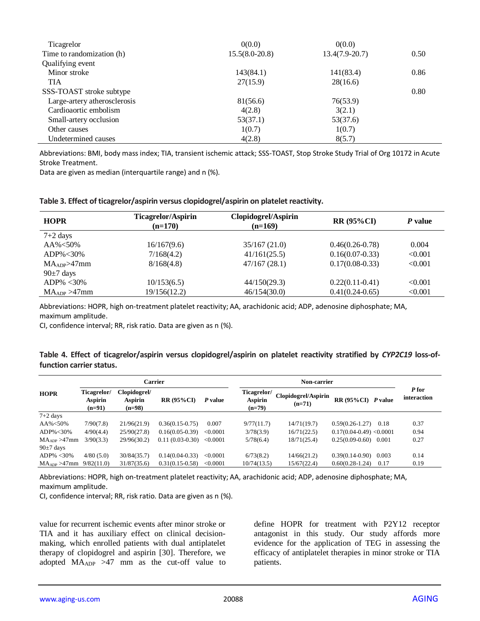| Ticagrelor                   | 0(0.0)           | 0(0.0)           |      |
|------------------------------|------------------|------------------|------|
| Time to randomization (h)    | $15.5(8.0-20.8)$ | $13.4(7.9-20.7)$ | 0.50 |
| Qualifying event             |                  |                  |      |
| Minor stroke                 | 143(84.1)        | 141(83.4)        | 0.86 |
| <b>TIA</b>                   | 27(15.9)         | 28(16.6)         |      |
| SSS-TOAST stroke subtype     |                  |                  | 0.80 |
| Large-artery atherosclerosis | 81(56.6)         | 76(53.9)         |      |
| Cardioaortic embolism        | 4(2.8)           | 3(2.1)           |      |
| Small-artery occlusion       | 53(37.1)         | 53(37.6)         |      |
| Other causes                 | 1(0.7)           | 1(0.7)           |      |
| Undetermined causes          | 4(2.8)           | 8(5.7)           |      |

Abbreviations: BMI, body mass index; TIA, transient ischemic attack; SSS-TOAST, Stop Stroke Study Trial of Org 10172 in Acute Stroke Treatment.

Data are given as median (interquartile range) and n (%).

#### **Table 3. Effect of ticagrelor/aspirin versus clopidogrel/aspirin on platelet reactivity.**

| <b>HOPR</b>              | <b>Ticagrelor/Aspirin</b><br>$(n=170)$ | Clopidogrel/Aspirin<br>$(n=169)$ | <b>RR (95%CI)</b> | P value |
|--------------------------|----------------------------------------|----------------------------------|-------------------|---------|
| $7+2$ days               |                                        |                                  |                   |         |
| $AA\% < 50\%$            | 16/167(9.6)                            | 35/167(21.0)                     | $0.46(0.26-0.78)$ | 0.004   |
| $ADP\% < 30\%$           | 7/168(4.2)                             | 41/161(25.5)                     | $0.16(0.07-0.33)$ | < 0.001 |
| MA <sub>ADP</sub> > 47mm | 8/168(4.8)                             | 47/167 (28.1)                    | $0.17(0.08-0.33)$ | < 0.001 |
| $90\pm7$ days            |                                        |                                  |                   |         |
| $ADP\% < 30\%$           | 10/153(6.5)                            | 44/150(29.3)                     | $0.22(0.11-0.41)$ | < 0.001 |
| $MA_{ADP} > 47$ mm       | 19/156(12.2)                           | 46/154(30.0)                     | $0.41(0.24-0.65)$ | < 0.001 |

Abbreviations: HOPR, high on-treatment platelet reactivity; AA, arachidonic acid; ADP, adenosine diphosphate; MA, maximum amplitude.

CI, confidence interval; RR, risk ratio. Data are given as n (%).

#### **Table 4. Effect of ticagrelor/aspirin versus clopidogrel/aspirin on platelet reactivity stratified by** *CYP2C19* **loss-offunction carrier status.**

|                          | <b>Carrier</b>                     |                                     |                   | Non-carrier |                                                  |                                 |                             |       |                      |
|--------------------------|------------------------------------|-------------------------------------|-------------------|-------------|--------------------------------------------------|---------------------------------|-----------------------------|-------|----------------------|
| <b>HOPR</b>              | Ticagrelor/<br>Aspirin<br>$(n=91)$ | Clopidogrel/<br>Aspirin<br>$(n=98)$ | <b>RR (95%CI)</b> | P value     | <b>Ticagrelor/</b><br><b>Aspirin</b><br>$(n=79)$ | Clopidogrel/Aspirin<br>$(n=71)$ | $RR(95\%CI)$ <i>P</i> value |       | P for<br>interaction |
| $7+2$ days               |                                    |                                     |                   |             |                                                  |                                 |                             |       |                      |
| AA%<50%                  | 7/90(7.8)                          | 21/96(21.9)                         | $0.36(0.15-0.75)$ | 0.007       | 9/77(11.7)                                       | 14/71(19.7)                     | $0.59(0.26-1.27)$           | 0.18  | 0.37                 |
| ADP% < 30%               | 4/90(4.4)                          | 25/90(27.8)                         | $0.16(0.05-0.39)$ | < 0.0001    | 3/78(3.9)                                        | 16/71(22.5)                     | $0.17(0.04-0.49)$ < 0.0001  |       | 0.94                 |
| MA <sub>ADP</sub> > 47mm | 3/90(3.3)                          | 29/96(30.2)                         | $0.11(0.03-0.30)$ | < 0.0001    | 5/78(6.4)                                        | 18/71(25.4)                     | $0.25(0.09-0.60)$           | 0.001 | 0.27                 |
| $90\pm7$ days            |                                    |                                     |                   |             |                                                  |                                 |                             |       |                      |
| $ADP\% < 30\%$           | 4/80(5.0)                          | 30/84(35.7)                         | $0.14(0.04-0.33)$ | < 0.0001    | 6/73(8.2)                                        | 14/66(21.2)                     | $0.39(0.14-0.90)$           | 0.003 | 0.14                 |
| MA <sub>ADP</sub> > 47mm | 9/82(11.0)                         | 31/87(35.6)                         | $0.31(0.15-0.58)$ | < 0.0001    | 10/74(13.5)                                      | 15/67(22.4)                     | $0.60(0.28-1.24)$           | 0.17  | 0.19                 |

Abbreviations: HOPR, high on-treatment platelet reactivity; AA, arachidonic acid; ADP, adenosine diphosphate; MA, maximum amplitude.

CI, confidence interval; RR, risk ratio. Data are given as n (%).

value for recurrent ischemic events after minor stroke or TIA and it has auxiliary effect on clinical decisionmaking, which enrolled patients with dual antiplatelet therapy of clopidogrel and aspirin [30]. Therefore, we adopted  $MA<sub>ADP</sub> > 47$  mm as the cut-off value to define HOPR for treatment with P2Y12 receptor antagonist in this study. Our study affords more evidence for the application of TEG in assessing the efficacy of antiplatelet therapies in minor stroke or TIA patients.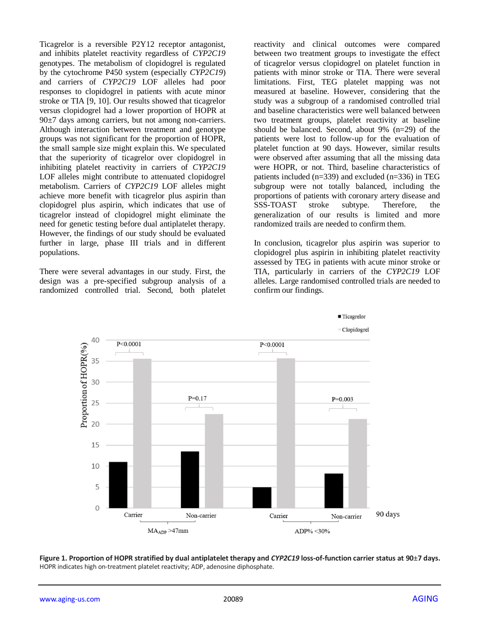Ticagrelor is a reversible P2Y12 receptor antagonist, and inhibits platelet reactivity regardless of *CYP2C19* genotypes. The metabolism of clopidogrel is regulated by the cytochrome P450 system (especially *CYP2C19*) and carriers of *CYP2C19* LOF alleles had poor responses to clopidogrel in patients with acute minor stroke or TIA [9, 10]. Our results showed that ticagrelor versus clopidogrel had a lower proportion of HOPR at 90±7 days among carriers, but not among non-carriers. Although interaction between treatment and genotype groups was not significant for the proportion of HOPR, the small sample size might explain this. We speculated that the superiority of ticagrelor over clopidogrel in inhibiting platelet reactivity in carriers of *CYP2C19* LOF alleles might contribute to attenuated clopidogrel metabolism. Carriers of *CYP2C19* LOF alleles might achieve more benefit with ticagrelor plus aspirin than clopidogrel plus aspirin, which indicates that use of ticagrelor instead of clopidogrel might eliminate the need for genetic testing before dual antiplatelet therapy. However, the findings of our study should be evaluated further in large, phase III trials and in different populations.

There were several advantages in our study. First, the design was a pre-specified subgroup analysis of a randomized controlled trial. Second, both platelet reactivity and clinical outcomes were compared between two treatment groups to investigate the effect of ticagrelor versus clopidogrel on platelet function in patients with minor stroke or TIA. There were several limitations. First, TEG platelet mapping was not measured at baseline. However, considering that the study was a subgroup of a randomised controlled trial and baseline characteristics were well balanced between two treatment groups, platelet reactivity at baseline should be balanced. Second, about 9% (n=29) of the patients were lost to follow-up for the evaluation of platelet function at 90 days. However, similar results were observed after assuming that all the missing data were HOPR, or not. Third, baseline characteristics of patients included (n=339) and excluded (n=336) in TEG subgroup were not totally balanced, including the proportions of patients with coronary artery disease and SSS-TOAST stroke subtype. Therefore, the generalization of our results is limited and more randomized trails are needed to confirm them.

In conclusion, ticagrelor plus aspirin was superior to clopidogrel plus aspirin in inhibiting platelet reactivity assessed by TEG in patients with acute minor stroke or TIA, particularly in carriers of the *CYP2C19* LOF alleles. Large randomised controlled trials are needed to confirm our findings.



**Figure 1. Proportion of HOPR stratified by dual antiplatelet therapy and** *CYP2C19* **loss-of-function carrier status at 90±7 days.** HOPR indicates high on-treatment platelet reactivity; ADP, adenosine diphosphate.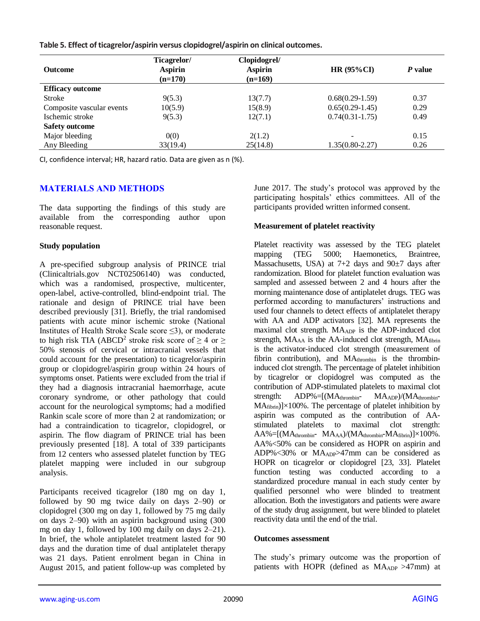**Table 5. Effect of ticagrelor/aspirin versus clopidogrel/aspirin on clinical outcomes.**

| <b>Outcome</b>            | Ticagrelor/<br><b>Aspirin</b><br>$(n=170)$ | Clopidogrel/<br><b>Aspirin</b><br>$(n=169)$ | HR $(95\%CI)$                | P value |
|---------------------------|--------------------------------------------|---------------------------------------------|------------------------------|---------|
| <b>Efficacy outcome</b>   |                                            |                                             |                              |         |
| Stroke                    | 9(5.3)                                     | 13(7.7)                                     | $0.68(0.29-1.59)$            | 0.37    |
| Composite vascular events | 10(5.9)                                    | 15(8.9)                                     | $0.65(0.29-1.45)$            | 0.29    |
| Ischemic stroke           | 9(5.3)                                     | 12(7.1)                                     | $0.74(0.31-1.75)$            | 0.49    |
| <b>Safety outcome</b>     |                                            |                                             |                              |         |
| Major bleeding            | 0(0)                                       | 2(1.2)                                      | $\qquad \qquad \blacksquare$ | 0.15    |
| Any Bleeding              | 33(19.4)                                   | 25(14.8)                                    | $1.35(0.80 - 2.27)$          | 0.26    |

CI, confidence interval; HR, hazard ratio. Data are given as n (%).

## **MATERIALS AND METHODS**

The data supporting the findings of this study are available from the corresponding author upon reasonable request.

#### **Study population**

A pre-specified subgroup analysis of PRINCE trial (Clinicaltrials.gov NCT02506140) was conducted, which was a randomised, prospective, multicenter, open-label, active-controlled, blind-endpoint trial. The rationale and design of PRINCE trial have been described previously [31]. Briefly, the trial randomised patients with acute minor ischemic stroke (National Institutes of Health Stroke Scale score ≤3), or moderate to high risk TIA (ABCD<sup>2</sup> stroke risk score of  $\geq$  4 or  $\geq$ 50% stenosis of cervical or intracranial vessels that could account for the presentation) to ticagrelor/aspirin group or clopidogrel/aspirin group within 24 hours of symptoms onset. Patients were excluded from the trial if they had a diagnosis intracranial haemorrhage, acute coronary syndrome, or other pathology that could account for the neurological symptoms; had a modified Rankin scale score of more than 2 at randomization; or had a contraindication to ticagrelor, clopidogrel, or aspirin. The flow diagram of PRINCE trial has been previously presented [18]. A total of 339 participants from 12 centers who assessed platelet function by TEG platelet mapping were included in our subgroup analysis.

Participants received ticagrelor (180 mg on day 1, followed by 90 mg twice daily on days 2–90) or clopidogrel (300 mg on day 1, followed by 75 mg daily on days 2–90) with an aspirin background using (300 mg on day 1, followed by 100 mg daily on days 2–21). In brief, the whole antiplatelet treatment lasted for 90 days and the duration time of dual antiplatelet therapy was 21 days. Patient enrolment began in China in August 2015, and patient follow-up was completed by June 2017. The study's protocol was approved by the participating hospitals' ethics committees. All of the participants provided written informed consent.

#### **Measurement of platelet reactivity**

Platelet reactivity was assessed by the TEG platelet mapping (TEG 5000; Haemonetics, Braintree, Massachusetts, USA) at  $7+2$  days and  $90±7$  days after randomization. Blood for platelet function evaluation was sampled and assessed between 2 and 4 hours after the morning maintenance dose of antiplatelet drugs*.* TEG was performed according to manufacturers' instructions and used four channels to detect effects of antiplatelet therapy with AA and ADP activators [32]. MA represents the maximal clot strength. MA<sub>ADP</sub> is the ADP-induced clot strength,  $MA<sub>AA</sub>$  is the AA-induced clot strength,  $MA<sub>fibrin</sub>$ is the activator-induced clot strength (measurement of fibrin contribution), and MA<sub>thrombin</sub> is the thrombininduced clot strength. The percentage of platelet inhibition by ticagrelor or clopidogrel was computed as the contribution of ADP-stimulated platelets to maximal clot strength: ADP%=[(MAthrombin- MAADP)/(MAthrombin- $MA<sub>fibrin</sub>$ ]×100%. The percentage of platelet inhibition by aspirin was computed as the contribution of AAstimulated platelets to maximal clot strength:  $AA\%=[(MA_{thrombin} - MA_{AA})/(MA_{thrombin} - MA_{fibrin})]\times 100\%$ . AA%<50% can be considered as HOPR on aspirin and ADP%<30% or MAADP>47mm can be considered as HOPR on ticagrelor or clopidogrel [23, 33]. Platelet function testing was conducted according to a standardized procedure manual in each study center by qualified personnel who were blinded to treatment allocation. Both the investigators and patients were aware of the study drug assignment, but were blinded to platelet reactivity data until the end of the trial.

#### **Outcomes assessment**

The study's primary outcome was the proportion of patients with HOPR (defined as MAADP >47mm) at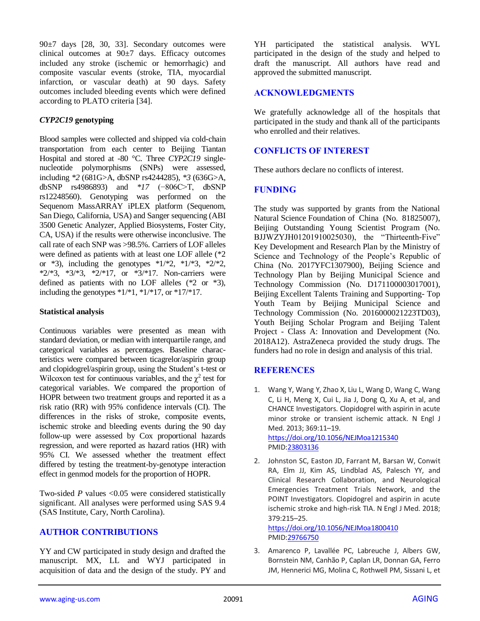90±7 days [28, 30, 33]. Secondary outcomes were clinical outcomes at  $90±7$  days. Efficacy outcomes included any stroke (ischemic or hemorrhagic) and composite vascular events (stroke, TIA, myocardial infarction, or vascular death) at 90 days. Safety outcomes included bleeding events which were defined according to PLATO criteria [34].

## *CYP2C19* **genotyping**

Blood samples were collected and shipped via cold-chain transportation from each center to Beijing Tiantan Hospital and stored at -80 °C. Three *CYP2C19* singlenucleotide polymorphisms (SNPs) were assessed, including *\*2* (681G>A, dbSNP rs4244285), *\*3* (636G>A, dbSNP rs4986893) and *\*17* (−806C>T, dbSNP rs12248560). Genotyping was performed on the Sequenom MassARRAY iPLEX platform (Sequenom, San Diego, California, USA) and Sanger sequencing (ABI 3500 Genetic Analyzer, Applied Biosystems, Foster City, CA, USA) if the results were otherwise inconclusive. The call rate of each SNP was >98.5%. Carriers of LOF alleles were defined as patients with at least one LOF allele (\*2 or  $*3$ ), including the genotypes  $*1/*2$ ,  $*1/*3$ ,  $*2/*2$ , \*2/\*3, \*3/\*3, \*2/\*17, or \*3/\*17. Non-carriers were defined as patients with no LOF alleles (\*2 or \*3), including the genotypes  $*1/*1$ ,  $*1/*17$ , or  $*17/*17$ .

## **Statistical analysis**

Continuous variables were presented as mean with standard deviation, or median with interquartile range, and categorical variables as percentages. Baseline characteristics were compared between ticagrelor/aspirin group and clopidogrel/aspirin group, using the Student's t-test or Wilcoxon test for continuous variables, and the  $\chi^2$  test for categorical variables. We compared the proportion of HOPR between two treatment groups and reported it as a risk ratio (RR) with 95% confidence intervals (CI). The differences in the risks of stroke, composite events, ischemic stroke and bleeding events during the 90 day follow-up were assessed by Cox proportional hazards regression, and were reported as hazard ratios (HR) with 95% CI. We assessed whether the treatment effect differed by testing the treatment-by-genotype interaction effect in genmod models for the proportion of HOPR.

Two-sided *P* values <0.05 were considered statistically significant. All analyses were performed using SAS 9.4 (SAS Institute, Cary, North Carolina).

# **AUTHOR CONTRIBUTIONS**

YY and CW participated in study design and drafted the manuscript. MX, LL and WYJ participated in acquisition of data and the design of the study. PY and

YH participated the statistical analysis. WYL participated in the design of the study and helped to draft the manuscript. All authors have read and approved the submitted manuscript.

# **ACKNOWLEDGMENTS**

We gratefully acknowledge all of the hospitals that participated in the study and thank all of the participants who enrolled and their relatives.

# **CONFLICTS OF INTEREST**

These authors declare no conflicts of interest.

# **FUNDING**

The study was supported by grants from the National Natural Science Foundation of China (No. 81825007), Beijing Outstanding Young Scientist Program (No. BJJWZYJH01201910025030), the "Thirteenth-Five" Key Development and Research Plan by the Ministry of Science and Technology of the People's Republic of China (No. 2017YFC1307900), Beijing Science and Technology Plan by Beijing Municipal Science and Technology Commission (No. D171100003017001), Beijing Excellent Talents Training and Supporting- Top Youth Team by Beijing Municipal Science and Technology Commission (No. 2016000021223TD03), Youth Beijing Scholar Program and Beijing Talent Project - Class A: Innovation and Development (No. 2018A12). AstraZeneca provided the study drugs. The funders had no role in design and analysis of this trial.

# **REFERENCES**

1. Wang Y, Wang Y, Zhao X, Liu L, Wang D, Wang C, Wang C, Li H, Meng X, Cui L, Jia J, Dong Q, Xu A, et al, and CHANCE Investigators. Clopidogrel with aspirin in acute minor stroke or transient ischemic attack. N Engl J Med. 2013; 369:11–19. <https://doi.org/10.1056/NEJMoa1215340>

PMI[D:23803136](https://pubmed.ncbi.nlm.nih.gov/23803136)

2. Johnston SC, Easton JD, Farrant M, Barsan W, Conwit RA, Elm JJ, Kim AS, Lindblad AS, Palesch YY, and Clinical Research Collaboration, and Neurological Emergencies Treatment Trials Network, and the POINT Investigators. Clopidogrel and aspirin in acute ischemic stroke and high-risk TIA. N Engl J Med. 2018; 379:215–25.

<https://doi.org/10.1056/NEJMoa1800410> PMI[D:29766750](https://pubmed.ncbi.nlm.nih.gov/29766750)

3. Amarenco P, Lavallée PC, Labreuche J, Albers GW, Bornstein NM, Canhão P, Caplan LR, Donnan GA, Ferro JM, Hennerici MG, Molina C, Rothwell PM, Sissani L, et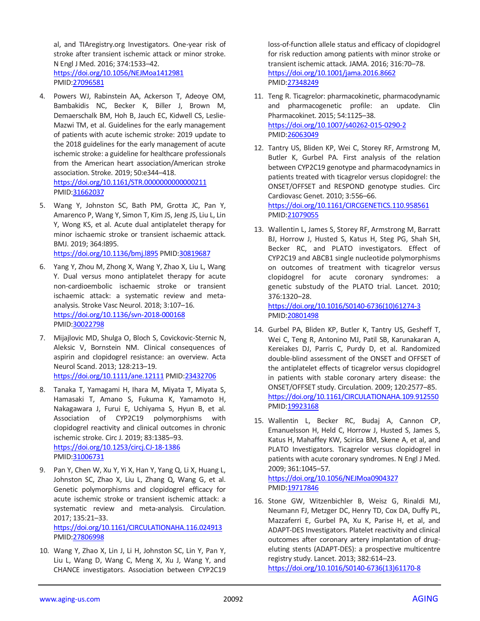al, and TIAregistry.org Investigators. One-year risk of stroke after transient ischemic attack or minor stroke. N Engl J Med. 2016; 374:1533–42. <https://doi.org/10.1056/NEJMoa1412981> PMID[:27096581](https://pubmed.ncbi.nlm.nih.gov/27096581)

- 4. Powers WJ, Rabinstein AA, Ackerson T, Adeoye OM, Bambakidis NC, Becker K, Biller J, Brown M, Demaerschalk BM, Hoh B, Jauch EC, Kidwell CS, Leslie-Mazwi TM, et al. Guidelines for the early management of patients with acute ischemic stroke: 2019 update to the 2018 guidelines for the early management of acute ischemic stroke: a guideline for healthcare professionals from the American heart association/American stroke association. Stroke. 2019; 50:e344–418. <https://doi.org/10.1161/STR.0000000000000211> PMID[:31662037](https://pubmed.ncbi.nlm.nih.gov/31662037)
- 5. Wang Y, Johnston SC, Bath PM, Grotta JC, Pan Y, Amarenco P, Wang Y, Simon T, Kim JS, Jeng JS, Liu L, Lin Y, Wong KS, et al. Acute dual antiplatelet therapy for minor ischaemic stroke or transient ischaemic attack. BMJ. 2019; 364:l895. <https://doi.org/10.1136/bmj.l895> PMI[D:30819687](https://pubmed.ncbi.nlm.nih.gov/30819687)
- 6. Yang Y, Zhou M, Zhong X, Wang Y, Zhao X, Liu L, Wang Y. Dual versus mono antiplatelet therapy for acute non-cardioembolic ischaemic stroke or transient ischaemic attack: a systematic review and metaanalysis. Stroke Vasc Neurol. 2018; 3:107–16. <https://doi.org/10.1136/svn-2018-000168> PMID[:30022798](https://pubmed.ncbi.nlm.nih.gov/30022798)
- 7. Mijajlovic MD, Shulga O, Bloch S, Covickovic-Sternic N, Aleksic V, Bornstein NM. Clinical consequences of aspirin and clopidogrel resistance: an overview. Acta Neurol Scand. 2013; 128:213–19. <https://doi.org/10.1111/ane.12111> PMI[D:23432706](https://pubmed.ncbi.nlm.nih.gov/23432706)
- 8. Tanaka T, Yamagami H, Ihara M, Miyata T, Miyata S, Hamasaki T, Amano S, Fukuma K, Yamamoto H, Nakagawara J, Furui E, Uchiyama S, Hyun B, et al. Association of CYP2C19 polymorphisms with clopidogrel reactivity and clinical outcomes in chronic ischemic stroke. Circ J. 2019; 83:1385–93. <https://doi.org/10.1253/circj.CJ-18-1386> PMID[:31006731](https://pubmed.ncbi.nlm.nih.gov/31006731)
- 9. Pan Y, Chen W, Xu Y, Yi X, Han Y, Yang Q, Li X, Huang L, Johnston SC, Zhao X, Liu L, Zhang Q, Wang G, et al. Genetic polymorphisms and clopidogrel efficacy for acute ischemic stroke or transient ischemic attack: a systematic review and meta-analysis. Circulation. 2017; 135:21–33. <https://doi.org/10.1161/CIRCULATIONAHA.116.024913> PMID[:27806998](https://pubmed.ncbi.nlm.nih.gov/27806998)
- 10. Wang Y, Zhao X, Lin J, Li H, Johnston SC, Lin Y, Pan Y, Liu L, Wang D, Wang C, Meng X, Xu J, Wang Y, and CHANCE investigators. Association between CYP2C19

loss-of-function allele status and efficacy of clopidogrel for risk reduction among patients with minor stroke or transient ischemic attack. JAMA. 2016; 316:70–78. <https://doi.org/10.1001/jama.2016.8662> PMI[D:27348249](https://pubmed.ncbi.nlm.nih.gov/27348249)

- 11. Teng R. Ticagrelor: pharmacokinetic, pharmacodynamic and pharmacogenetic profile: an update. Clin Pharmacokinet. 2015; 54:1125–38. <https://doi.org/10.1007/s40262-015-0290-2> PMI[D:26063049](https://pubmed.ncbi.nlm.nih.gov/26063049)
- 12. Tantry US, Bliden KP, Wei C, Storey RF, Armstrong M, Butler K, Gurbel PA. First analysis of the relation between CYP2C19 genotype and pharmacodynamics in patients treated with ticagrelor versus clopidogrel: the ONSET/OFFSET and RESPOND genotype studies. Circ Cardiovasc Genet. 2010; 3:556–66. <https://doi.org/10.1161/CIRCGENETICS.110.958561>

PMI[D:21079055](https://pubmed.ncbi.nlm.nih.gov/21079055)

13. Wallentin L, James S, Storey RF, Armstrong M, Barratt BJ, Horrow J, Husted S, Katus H, Steg PG, Shah SH, Becker RC, and PLATO investigators. Effect of CYP2C19 and ABCB1 single nucleotide polymorphisms on outcomes of treatment with ticagrelor versus clopidogrel for acute coronary syndromes: a genetic substudy of the PLATO trial. Lancet. 2010; 376:1320–28.

[https://doi.org/10.1016/S0140-6736\(10\)61274-3](https://doi.org/10.1016/S0140-6736(10)61274-3) PMI[D:20801498](https://pubmed.ncbi.nlm.nih.gov/20801498)

- 14. Gurbel PA, Bliden KP, Butler K, Tantry US, Gesheff T, Wei C, Teng R, Antonino MJ, Patil SB, Karunakaran A, Kereiakes DJ, Parris C, Purdy D, et al. Randomized double-blind assessment of the ONSET and OFFSET of the antiplatelet effects of ticagrelor versus clopidogrel in patients with stable coronary artery disease: the ONSET/OFFSET study. Circulation. 2009; 120:2577–85. <https://doi.org/10.1161/CIRCULATIONAHA.109.912550> PMI[D:19923168](https://pubmed.ncbi.nlm.nih.gov/19923168)
- 15. Wallentin L, Becker RC, Budaj A, Cannon CP, Emanuelsson H, Held C, Horrow J, Husted S, James S, Katus H, Mahaffey KW, Scirica BM, Skene A, et al, and PLATO Investigators. Ticagrelor versus clopidogrel in patients with acute coronary syndromes. N Engl J Med. 2009; 361:1045–57. <https://doi.org/10.1056/NEJMoa0904327> PMI[D:19717846](https://pubmed.ncbi.nlm.nih.gov/19717846)
- 16. Stone GW, Witzenbichler B, Weisz G, Rinaldi MJ, Neumann FJ, Metzger DC, Henry TD, Cox DA, Duffy PL, Mazzaferri E, Gurbel PA, Xu K, Parise H, et al, and ADAPT-DES Investigators. Platelet reactivity and clinical outcomes after coronary artery implantation of drugeluting stents (ADAPT-DES): a prospective multicentre registry study. Lancet. 2013; 382:614–23. [https://doi.org/10.1016/S0140-6736\(13\)61170-8](https://doi.org/10.1016/S0140-6736(13)61170-8)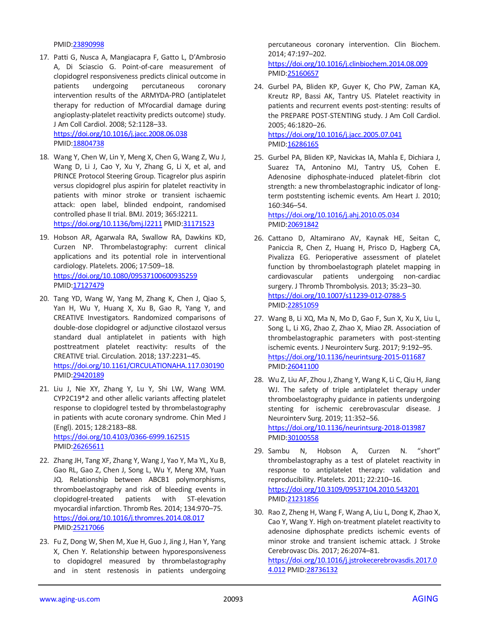PMID[:23890998](https://pubmed.ncbi.nlm.nih.gov/23890998)

17. Patti G, Nusca A, Mangiacapra F, Gatto L, D'Ambrosio A, Di Sciascio G. Point-of-care measurement of clopidogrel responsiveness predicts clinical outcome in patients undergoing percutaneous coronary intervention results of the ARMYDA-PRO (antiplatelet therapy for reduction of MYocardial damage during angioplasty-platelet reactivity predicts outcome) study. J Am Coll Cardiol. 2008; 52:1128–33.

<https://doi.org/10.1016/j.jacc.2008.06.038> PMID[:18804738](https://pubmed.ncbi.nlm.nih.gov/18804738)

- 18. Wang Y, Chen W, Lin Y, Meng X, Chen G, Wang Z, Wu J, Wang D, Li J, Cao Y, Xu Y, Zhang G, Li X, et al, and PRINCE Protocol Steering Group. Ticagrelor plus aspirin versus clopidogrel plus aspirin for platelet reactivity in patients with minor stroke or transient ischaemic attack: open label, blinded endpoint, randomised controlled phase II trial. BMJ. 2019; 365:l2211. <https://doi.org/10.1136/bmj.l2211> PMI[D:31171523](https://pubmed.ncbi.nlm.nih.gov/31171523)
- 19. Hobson AR, Agarwala RA, Swallow RA, Dawkins KD, Curzen NP. Thrombelastography: current clinical applications and its potential role in interventional cardiology. Platelets. 2006; 17:509–18. <https://doi.org/10.1080/09537100600935259> PMID[:17127479](https://pubmed.ncbi.nlm.nih.gov/17127479)
- 20. Tang YD, Wang W, Yang M, Zhang K, Chen J, Qiao S, Yan H, Wu Y, Huang X, Xu B, Gao R, Yang Y, and CREATIVE Investigators. Randomized comparisons of double-dose clopidogrel or adjunctive cilostazol versus standard dual antiplatelet in patients with high posttreatment platelet reactivity: results of the CREATIVE trial. Circulation. 2018; 137:2231–45. <https://doi.org/10.1161/CIRCULATIONAHA.117.030190> PMID[:29420189](https://pubmed.ncbi.nlm.nih.gov/29420189)
- 21. Liu J, Nie XY, Zhang Y, Lu Y, Shi LW, Wang WM. CYP2C19\*2 and other allelic variants affecting platelet response to clopidogrel tested by thrombelastography in patients with acute coronary syndrome. Chin Med J (Engl). 2015; 128:2183–88. <https://doi.org/10.4103/0366-6999.162515> PMID[:26265611](https://pubmed.ncbi.nlm.nih.gov/26265611)
- 22. Zhang JH, Tang XF, Zhang Y, Wang J, Yao Y, Ma YL, Xu B, Gao RL, Gao Z, Chen J, Song L, Wu Y, Meng XM, Yuan JQ. Relationship between ABCB1 polymorphisms, thromboelastography and risk of bleeding events in clopidogrel-treated patients with ST-elevation myocardial infarction. Thromb Res. 2014; 134:970–75. <https://doi.org/10.1016/j.thromres.2014.08.017> PMID[:25217066](https://pubmed.ncbi.nlm.nih.gov/25217066)
- 23. Fu Z, Dong W, Shen M, Xue H, Guo J, Jing J, Han Y, Yang X, Chen Y. Relationship between hyporesponsiveness to clopidogrel measured by thrombelastography and in stent restenosis in patients undergoing

percutaneous coronary intervention. Clin Biochem. 2014; 47:197–202.

<https://doi.org/10.1016/j.clinbiochem.2014.08.009> PMI[D:25160657](https://pubmed.ncbi.nlm.nih.gov/25160657)

24. Gurbel PA, Bliden KP, Guyer K, Cho PW, Zaman KA, Kreutz RP, Bassi AK, Tantry US. Platelet reactivity in patients and recurrent events post-stenting: results of the PREPARE POST-STENTING study. J Am Coll Cardiol. 2005; 46:1820–26. <https://doi.org/10.1016/j.jacc.2005.07.041>

PMI[D:16286165](https://pubmed.ncbi.nlm.nih.gov/16286165)

25. Gurbel PA, Bliden KP, Navickas IA, Mahla E, Dichiara J, Suarez TA, Antonino MJ, Tantry US, Cohen E. Adenosine diphosphate-induced platelet-fibrin clot strength: a new thrombelastographic indicator of longterm poststenting ischemic events. Am Heart J. 2010; 160:346–54.

<https://doi.org/10.1016/j.ahj.2010.05.034> PMI[D:20691842](https://pubmed.ncbi.nlm.nih.gov/20691842)

- 26. Cattano D, Altamirano AV, Kaynak HE, Seitan C, Paniccia R, Chen Z, Huang H, Prisco D, Hagberg CA, Pivalizza EG. Perioperative assessment of platelet function by thromboelastograph platelet mapping in cardiovascular patients undergoing non-cardiac surgery. J Thromb Thrombolysis. 2013; 35:23–30. <https://doi.org/10.1007/s11239-012-0788-5> PMI[D:22851059](https://pubmed.ncbi.nlm.nih.gov/22851059)
- 27. Wang B, Li XQ, Ma N, Mo D, Gao F, Sun X, Xu X, Liu L, Song L, Li XG, Zhao Z, Zhao X, Miao ZR. Association of thrombelastographic parameters with post-stenting ischemic events. J Neurointerv Surg. 2017; 9:192–95. <https://doi.org/10.1136/neurintsurg-2015-011687> PMI[D:26041100](https://pubmed.ncbi.nlm.nih.gov/26041100)
- 28. Wu Z, Liu AF, Zhou J, Zhang Y, Wang K, Li C, Qiu H, Jiang WJ. The safety of triple antiplatelet therapy under thromboelastography guidance in patients undergoing stenting for ischemic cerebrovascular disease. J Neurointerv Surg. 2019; 11:352–56. <https://doi.org/10.1136/neurintsurg-2018-013987> PMI[D:30100558](https://pubmed.ncbi.nlm.nih.gov/30100558)
- 29. Sambu N, Hobson A, Curzen N. "short" thrombelastography as a test of platelet reactivity in response to antiplatelet therapy: validation and reproducibility. Platelets. 2011; 22:210–16. <https://doi.org/10.3109/09537104.2010.543201> PMI[D:21231856](https://pubmed.ncbi.nlm.nih.gov/21231856)
- 30. Rao Z, Zheng H, Wang F, Wang A, Liu L, Dong K, Zhao X, Cao Y, Wang Y. High on-treatment platelet reactivity to adenosine diphosphate predicts ischemic events of minor stroke and transient ischemic attack. J Stroke Cerebrovasc Dis. 2017; 26:2074–81.

[https://doi.org/10.1016/j.jstrokecerebrovasdis.2017.0](https://doi.org/10.1016/j.jstrokecerebrovasdis.2017.04.012) [4.012](https://doi.org/10.1016/j.jstrokecerebrovasdis.2017.04.012) PMID[:28736132](https://pubmed.ncbi.nlm.nih.gov/28736132)